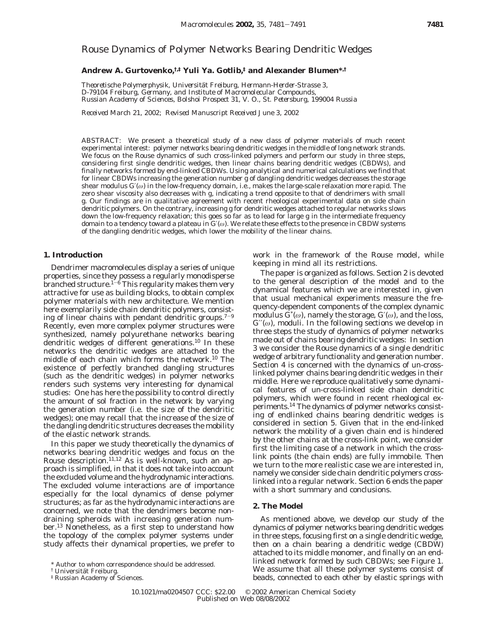# Rouse Dynamics of Polymer Networks Bearing Dendritic Wedges

# **Andrew A. Gurtovenko,†,‡ Yuli Ya. Gotlib,‡ and Alexander Blumen\*,†**

*Theoretische Polymerphysik, Universita*¨*t Freiburg, Hermann-Herder-Strasse 3, D-79104 Freiburg, Germany, and Institute of Macromolecular Compounds, Russian Academy of Sciences, Bolshoi Prospect 31, V. O., St. Petersburg, 199004 Russia*

*Received March 21, 2002; Revised Manuscript Received June 3, 2002*

ABSTRACT: We present a theoretical study of a new class of polymer materials of much recent experimental interest: polymer networks bearing dendritic wedges in the middle of long network strands. We focus on the Rouse dynamics of such cross-linked polymers and perform our study in three steps, considering first single dendritic wedges, then linear chains bearing dendritic wedges (CBDWs), and finally networks formed by end-linked CBDWs. Using analytical and numerical calculations we find that for linear CBDWs increasing the generation number *g* of dangling dendritic wedges decreases the storage shear modulus *G*′(*ω*) in the low-frequency domain, i.e., makes the large-scale relaxation more rapid. The zero shear viscosity also decreases with *g*, indicating a trend opposite to that of dendrimers with small *g*. Our findings are in qualitative agreement with recent rheological experimental data on side chain dendritic polymers. On the contrary, increasing *g* for dendritic wedges attached to regular networks slows down the low-frequency relaxation; this goes so far as to lead for large *g* in the intermediate frequency domain to a tendency toward a plateau in *G*′(*ω*). We relate these effects to the presence in CBDW systems of the dangling dendritic wedges, which lower the mobility of the linear chains.

### **1. Introduction**

Dendrimer macromolecules display a series of unique properties, since they possess a regularly monodisperse  $\frac{1}{2}$  branched structure.<sup>1-6</sup> This regularity makes them very attractive for use as building blocks, to obtain complex polymer materials with new architecture. We mention here exemplarily side chain dendritic polymers, consisting of linear chains with pendant dendritic groups. $7-9$ Recently, even more complex polymer structures were synthesized, namely polyurethane networks bearing dendritic wedges of different generations.<sup>10</sup> In these networks the dendritic wedges are attached to the middle of each chain which forms the network.10 The existence of perfectly branched dangling structures (such as the dendritic wedges) in polymer networks renders such systems very interesting for dynamical studies: One has here the possibility to control directly the amount of sol fraction in the network by varying the generation number (i.e. the size of the dendritic wedges); one may recall that the increase of the size of the dangling dendritic structures decreases the mobility of the elastic network strands.

In this paper we study theoretically the dynamics of networks bearing dendritic wedges and focus on the Rouse description.11,12 As is well-known, such an approach is simplified, in that it does not take into account the excluded volume and the hydrodynamic interactions. The excluded volume interactions are of importance especially for the local dynamics of dense polymer structures; as far as the hydrodynamic interactions are concerned, we note that the dendrimers become nondraining spheroids with increasing generation number.13 Nonetheless, as a first step to understand how the topology of the complex polymer systems under study affects their dynamical properties, we prefer to

work in the framework of the Rouse model, while keeping in mind all its restrictions.

The paper is organized as follows. Section 2 is devoted to the general description of the model and to the dynamical features which we are interested in, given that usual mechanical experiments measure the frequency-dependent components of the complex dynamic modulus  $\tilde{G}^*(\omega)$ , namely the storage,  $G'(\omega)$ , and the loss,  $G''(\omega)$ , moduli. In the following sections we develop in three steps the study of dynamics of polymer networks made out of chains bearing dendritic wedges: In section 3 we consider the Rouse dynamics of a single dendritic wedge of arbitrary functionality and generation number. Section 4 is concerned with the dynamics of un-crosslinked polymer chains bearing dendritic wedges in their middle. Here we reproduce qualitatively some dynamical features of un-cross-linked side chain dendritic polymers, which were found in recent rheological experiments.14 The dynamics of polymer networks consisting of endlinked chains bearing dendritic wedges is considered in section 5. Given that in the end-linked network the mobility of a given chain end is hindered by the other chains at the cross-link point, we consider first the limiting case of a network in which the crosslink points (the chain ends) are fully immobile. Then we turn to the more realistic case we are interested in, namely we consider side chain dendritic polymers crosslinked into a regular network. Section 6 ends the paper with a short summary and conclusions.

# **2. The Model**

As mentioned above, we develop our study of the dynamics of polymer networks bearing dendritic wedges in three steps, focusing first on a single dendritic wedge, then on a chain bearing a dendritic wedge (CBDW) attached to its middle monomer, and finally on an endlinked network formed by such CBDWs; see Figure 1. We assume that all these polymer systems consist of beads, connected to each other by elastic springs with

<sup>\*</sup> Author to whom correspondence should be addressed.<br>† Universität Freiburg.

<sup>&</sup>lt;sup>‡</sup> Russian Academy of Sciences.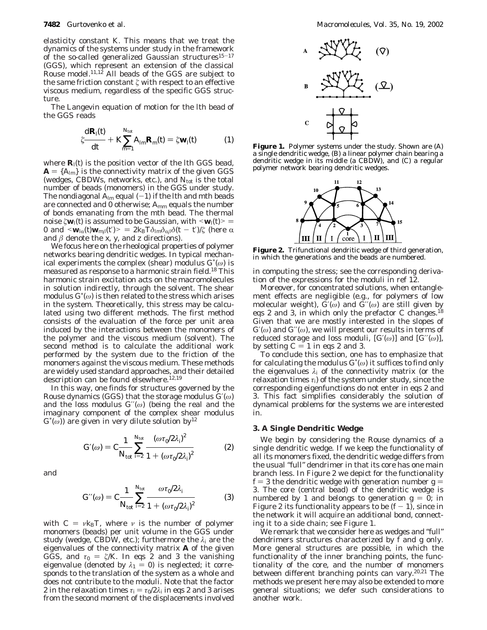elasticity constant *K*. This means that we treat the dynamics of the systems under study in the framework of the so-called generalized Gaussian structures<sup>15-17</sup> (GGS), which represent an extension of the classical Rouse model.<sup>11,12</sup> All beads of the GGS are subject to the same friction constant *ú* with respect to an effective viscous medium, regardless of the specific GGS structure.

The Langevin equation of motion for the *l*th bead of the GGS reads

$$
\zeta \frac{\mathrm{d} \mathbf{R}_l(t)}{\mathrm{d} t} + K \sum_{m=1}^{N_{\text{tot}}} A_{lm} \mathbf{R}_m(t) = \zeta \mathbf{w}_l(t) \tag{1}
$$

where **R***l*(*t*) is the position vector of the *l*th GGS bead,  ${\bf A} = \{A_{lm}\}\$ is the connectivity matrix of the given GGS (wedges, CBDWs, networks, etc.), and  $N_{\text{tot}}$  is the total number of beads (monomers) in the GGS under study. The nondiagonal  $A_{lm}$  equal (-1) if the *l*th and *m*th beads are connected and 0 otherwise; *Amm* equals the number of bonds emanating from the *m*th bead. The thermal noise  $\zeta \mathbf{w}_l(t)$  is assumed to be Gaussian, with  $\langle \mathbf{w}_l(t) \rangle =$ 0 and  $\langle \mathbf{w}_{I\alpha}(t)\mathbf{w}_{I\beta}(t')\rangle = 2k_BT\delta_{I\alpha}\delta_{\alpha\beta}\delta(t-t')/\zeta$  (here  $\alpha$ and  $\beta$  denote the *x*, *y*, and *z* directions).

We focus here on the rheological properties of polymer networks bearing dendritic wedges. In typical mechanical experiments the complex (shear) modulus  $G^*(\omega)$  is measured as response to a harmonic strain field.18 This harmonic strain excitation acts on the macromolecules in solution indirectly, through the solvent. The shear modulus  $G^*(\omega)$  is then related to the stress which arises in the system. Theoretically, this stress may be calculated using two different methods. The first method consists of the evaluation of the force per unit area induced by the interactions between the monomers of the polymer and the viscous medium (solvent). The second method is to calculate the additional work performed by the system due to the friction of the monomers against the viscous medium. These methods are widely used standard approaches, and their detailed description can be found elsewhere.12,19

In this way, one finds for structures governed by the Rouse dynamics (GGS) that the storage modulus *G*′(*ω*) and the loss modulus *G*′′(*ω*) (being the real and the imaginary component of the complex shear modulus  $G^*(\omega)$ ) are given in very dilute solution by<sup>12</sup>

$$
G(\omega) = C \frac{1}{N_{\text{tot}}} \sum_{i=2}^{N_{\text{tot}}} \frac{(\omega \tau_0 / 2\lambda_i)^2}{1 + (\omega \tau_0 / 2\lambda_i)^2}
$$
(2)

and

$$
G'(\omega) = C \frac{1}{N_{\text{tot}}} \sum_{i=2}^{N_{\text{tot}}} \frac{\omega \tau_0 / 2 \lambda_i}{1 + (\omega \tau_0 / 2 \lambda_i)^2}
$$
(3)

with  $C = v k_B T$ , where *v* is the number of polymer monomers (beads) per unit volume in the GGS under study (wedge, CBDW, etc.); furthermore the *λ<sup>i</sup>* are the eigenvalues of the connectivity matrix **A** of the given GGS, and  $\tau_0 = \zeta/K$ . In eqs 2 and 3 the vanishing eigenvalue (denoted by  $\lambda_1 = 0$ ) is neglected; it corresponds to the translation of the system as a whole and does not contribute to the moduli. Note that the factor 2 in the relaxation times  $\tau_i = \tau_0/2\lambda_i$  in eqs 2 and 3 arises from the second moment of the displacements involved



**Figure 1.** Polymer systems under the study. Shown are (A) a single dendritic wedge, (B) a linear polymer chain bearing a dendritic wedge in its middle (a CBDW), and (C) a regular polymer network bearing dendritic wedges.



**Figure 2.** Trifunctional dendritic wedge of third generation, in which the generations and the beads are numbered.

in computing the stress; see the corresponding derivation of the expressions for the moduli in ref 12.

Moreover, for concentrated solutions, when entanglement effects are negligible (e.g., for polymers of low molecular weight), *G*′(*ω*) and *G*′′(*ω*) are still given by eqs 2 and 3, in which only the prefactor *C* changes.<sup>18</sup> Given that we are mostly interested in the slopes of  $G'(\omega)$  and  $G''(\omega)$ , we will present our results in terms of reduced storage and loss moduli,  $[G'(\omega)]$  and  $[G''(\omega)]$ , by setting  $C = 1$  in eqs 2 and 3.

To conclude this section, one has to emphasize that for calculating the modulus  $G^*(\omega)$  it suffices to find only the eigenvalues  $\lambda_i$  of the connectivity matrix (or the relaxation times *τi*) of the system under study, since the corresponding eigenfunctions do not enter in eqs 2 and 3. This fact simplifies considerably the solution of dynamical problems for the systems we are interested in.

# **3. A Single Dendritic Wedge**

We begin by considering the Rouse dynamics of a single dendritic wedge. If we keep the functionality of all its monomers fixed, the dendritic wedge differs from the usual "full" dendrimer in that its core has one main branch less. In Figure 2 we depict for the functionality  $f = 3$  the dendritic wedge with generation number  $g =$ 3. The core (central bead) of the dendritic wedge is numbered by 1 and belongs to generation  $g = 0$ ; in Figure 2 its functionality appears to be  $(f-1)$ , since in the network it will acquire an additional bond, connecting it to a side chain; see Figure 1.

We remark that we consider here as wedges and "full" dendrimers structures characterized by *f* and *g* only. More general structures are possible, in which the functionality of the inner branching points, the functionality of the core, and the number of monomers between different branching points can vary.<sup>20,21</sup> The methods we present here may also be extended to more general situations; we defer such considerations to another work.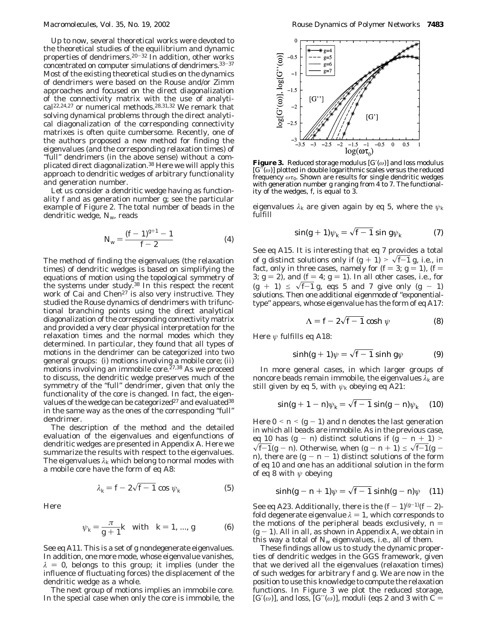Up to now, several theoretical works were devoted to the theoretical studies of the equilibrium and dynamic properties of dendrimers.<sup>20-32</sup> In addition, other works concentrated on computer simulations of dendrimers.33-<sup>37</sup> Most of the existing theoretical studies on the dynamics of dendrimers were based on the Rouse and/or Zimm approaches and focused on the direct diagonalization of the connectivity matrix with the use of analytical22,24,27 or numerical methods.28,31,32 We remark that solving dynamical problems through the direct analytical diagonalization of the corresponding connectivity matrixes is often quite cumbersome. Recently, one of the authors proposed a new method for finding the eigenvalues (and the corresponding relaxation times) of "full" dendrimers (in the above sense) without a complicated direct diagonalization.<sup>38</sup> Here we will apply this approach to dendritic wedges of arbitrary functionality and generation number.

Let us consider a dendritic wedge having as functionality *f* and as generation number *g*; see the particular example of Figure 2. The total number of beads in the dendritic wedge, *N*w, reads

$$
N_{\rm w} = \frac{(f-1)^{g+1}-1}{f-2} \tag{4}
$$

The method of finding the eigenvalues (the relaxation times) of dendritic wedges is based on simplifying the equations of motion using the topological symmetry of the systems under study.38 In this respect the recent work of Cai and Chen<sup>27</sup> is also very instructive. They studied the Rouse dynamics of dendrimers with trifunctional branching points using the direct analytical diagonalization of the corresponding connectivity matrix and provided a very clear physical interpretation for the relaxation times and the normal modes which they determined. In particular, they found that all types of motions in the dendrimer can be categorized into two general groups: (i) motions involving a mobile core; (ii) motions involving an immobile core.<sup>27,38</sup> As we proceed to discuss, the dendritic wedge preserves much of the symmetry of the "full" dendrimer, given that only the functionality of the core is changed. In fact, the eigenvalues of the wedge can be categorized<sup>27</sup> and evaluated<sup>38</sup> in the same way as the ones of the corresponding "full" dendrimer.

The description of the method and the detailed evaluation of the eigenvalues and eigenfunctions of dendritic wedges are presented in Appendix A. Here we summarize the results with respect to the eigenvalues. The eigenvalues *λ<sup>k</sup>* which belong to normal modes with a mobile core have the form of eq A8:

$$
\lambda_k = f - 2\sqrt{f - 1} \cos \psi_k \tag{5}
$$

Here

$$
\psi_k = \frac{\pi}{g+1}k
$$
 with  $k = 1, ..., g$  (6)

See eq A11. This is a set of *g* nondegenerate eigenvalues. In addition, one more mode, whose eigenvalue vanishes,  $\lambda = 0$ , belongs to this group; it implies (under the influence of fluctuating forces) the displacement of the dendritic wedge as a whole.

The next group of motions implies an immobile core. In the special case when only the core is immobile, the



**Figure 3.** Reduced storage modulus [*G*′(*ω*)] and loss modulus  $[G<sup>r</sup>(\omega)]$  plotted in double logarithmic scales versus the reduced frequency  $\omega\tau_0$ . Shown are results for single dendritic wedges with generation number *g* ranging from 4 to 7. The functionality of the wedges, *f*, is equal to 3.

eigenvalues  $\lambda_k$  are given again by eq 5, where the  $\psi_k$ fulfill

$$
\sin(g+1)\psi_k = \sqrt{f-1}\sin g\psi_k\tag{7}
$$

See eq A15. It is interesting that eq 7 provides a total of *g* distinct solutions only if  $(g + 1) > \sqrt{f-1} g$ , i.e., in fact, only in three cases, namely for  $(f = 3; g = 1)$ ,  $(f = 1)$ 3;  $g = 2$ ), and  $(f = 4; g = 1)$ . In all other cases, i.e., for  $(g + 1) \leq \sqrt{f-1} g$ , eqs 5 and 7 give only  $(g - 1)$ solutions. Then one additional eigenmode of "exponentialtype" appears, whose eigenvalue has the form of eq A17:

$$
\Lambda = f - 2\sqrt{f - 1} \cosh \psi \tag{8}
$$

Here  $\psi$  fulfills eq A18:

$$
\sinh(g+1)\psi = \sqrt{f-1} \sinh g\psi \tag{9}
$$

In more general cases, in which larger groups of noncore beads remain immobile, the eigenvalues *λ<sup>k</sup>* are still given by eq 5, with  $\psi_k$  obeying eq A21:

$$
\sin(g+1-\eta)\psi_k = \sqrt{f-1}\,\sin(g-\eta)\psi_k\quad (10)
$$

Here  $0 \le n \le (g-1)$  and *n* denotes the last generation in which *all* beads are immobile. As in the previous case, eq 10 has  $(g - n)$  distinct solutions if  $(g - n + 1)$  $\sqrt{f-1(g-n)}$ . Otherwise, when  $(g-n+1) \leq \sqrt{f-1(g-n)}$ *n*), there are  $(g - n - 1)$  distinct solutions of the form of eq 10 and one has an additional solution in the form of eq 8 with  $\psi$  obeying

$$
\sinh(g - n + 1)\psi = \sqrt{f - 1}\sinh(g - n)\psi \quad (11)
$$

See eq A23. Additionally, there is the  $(f-1)^{(g-1)}(f-2)$ fold degenerate eigenvalue  $\lambda = 1$ , which corresponds to the motions of the peripheral beads exclusively,  $n =$  $(g - 1)$ . All in all, as shown in Appendix A, we obtain in this way a total of  $N_w$  eigenvalues, i.e., all of them.

These findings allow us to study the dynamic properties of dendritic wedges in the GGS framework, given that we derived all the eigenvalues (relaxation times) of such wedges for arbitrary *f* and *g*. We are now in the position to use this knowledge to compute the relaxation functions. In Figure 3 we plot the reduced storage,  $[G'(\omega)]$ , and loss,  $[G''(\omega)]$ , moduli (eqs 2 and 3 with  $\tilde{C}$  =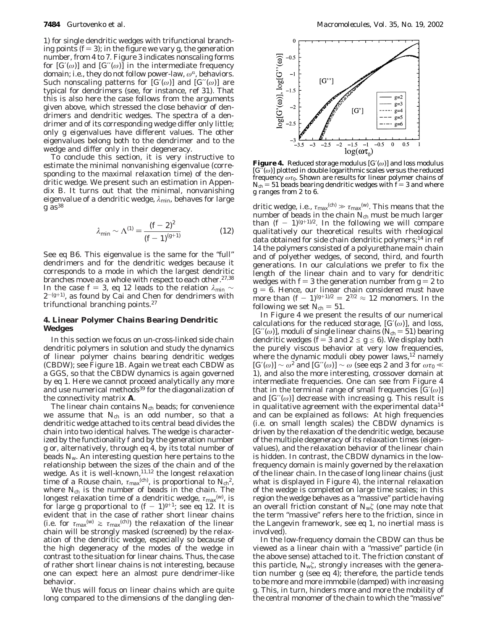1) for single dendritic wedges with trifunctional branching points  $(f=3)$ ; in the figure we vary g, the generation number, from 4 to 7. Figure 3 indicates nonscaling forms for  $[G(\omega)]$  and  $[G'(\omega)]$  in the intermediate frequency domain; i.e., they do not follow power-law,  $ω<sup>α</sup>$ , behaviors. Such nonscaling patterns for  $[G(\omega)]$  and  $[G'(\omega)]$  are typical for dendrimers (see, for instance, ref 31). That this is also here the case follows from the arguments given above, which stressed the close behavior of dendrimers and dendritic wedges. The spectra of a dendrimer and of its corresponding wedge differ only little; only *g* eigenvalues have different values. The other eigenvalues belong both to the dendrimer and to the wedge and differ only in their degeneracy.

To conclude this section, it is very instructive to estimate the minimal nonvanishing eigenvalue (corresponding to the maximal relaxation time) of the dendritic wedge. We present such an estimation in Appendix B. It turns out that the minimal, nonvanishing eigenvalue of a dendritic wedge, *λ*min, behaves for large  *as<sup>38</sup>* 

$$
\lambda_{\min} \sim \Lambda^{(1)} = \frac{(f-2)^2}{(f-1)^{(g+1)}}\tag{12}
$$

See eq B6. This eigenvalue is the same for the "full" dendrimers and for the dendritic wedges because it corresponds to a mode in which the largest dendritic branches move as a whole with respect to each other.<sup>27,38</sup> In the case *f* = 3, eq 12 leads to the relation  $λ_{min}$  ∼  $2^{-(g+1)}$ , as found by Cai and Chen for dendrimers with trifunctional branching points.27

# **4. Linear Polymer Chains Bearing Dendritic Wedges**

In this section we focus on un-cross-linked side chain dendritic polymers in solution and study the dynamics of linear polymer chains bearing dendritic wedges (CBDW); see Figure 1B. Again we treat each CBDW as a GGS, so that the CBDW dynamics is again governed by eq 1. Here we cannot proceed analytically any more and use numerical methods<sup>39</sup> for the diagonalization of the connectivity matrix **A**.

The linear chain contains  $N_{ch}$  beads; for convenience we assume that *N*ch is an odd number, so that a dendritic wedge attached to its central bead divides the chain into two identical halves. The wedge is characterized by the functionality *f* and by the generation number *g* or, alternatively, through eq 4, by its total number of beads *N*w. An interesting question here pertains to the relationship between the sizes of the chain and of the wedge. As it is well-known,  $11,12$  the longest relaxation time of a Rouse chain,  $\tau_{\text{max}}^{(\text{ch})}$ , is proportional to  $N_{\text{ch}}^2$ , where  $N_{ch}$  is the number of beads in the chain. The longest relaxation time of a dendritic wedge,  $τ_{max}^{(w)}$ , is for large *g* proportional to  $(f - 1)^{g+1}$ ; see eq 12. It is evident that in the case of rather short linear chains (i.e. for  $\tau_{\text{max}}^{(w)} \ge \tau_{\text{max}}^{(ch)}$ ) the relaxation of the linear chain will be strongly masked (screened) by the relaxation of the dendritic wedge, especially so because of the high degeneracy of the modes of the wedge in contrast to the situation for linear chains. Thus, the case of rather short linear chains is not interesting, because one can expect here an almost pure dendrimer-like behavior.

We thus will focus on linear chains which are quite long compared to the dimensions of the dangling den-



**Figure 4.** Reduced storage modulus  $[G(\omega)]$  and loss modulus [*G*′′(*ω*)] plotted in double logarithmic scales versus the reduced frequency *ωτ*0. Shown are results for linear polymer chains of  $N_{ch} = 51$  beads bearing dendritic wedges with  $\tilde{f} = 3$  and where *g* ranges from 2 to 6.

dritic wedge, i.e.,  $\tau_{\text{max}}^{(\text{ch})} \gg \tau_{\text{max}}^{(\text{w})}$ . This means that the number of beads in the chain  $N_{ch}$  must be much larger than  $(f - 1)^{(g+1)/2}$ . In the following we will compare qualitatively our theoretical results with rheological data obtained for side chain dendritic polymers;<sup>14</sup> in ref 14 the polymers consisted of a polyurethane main chain and of polyether wedges, of second, third, and fourth generations. In our calculations we prefer to fix the length of the linear chain and to vary for dendritic wedges with  $f = 3$  the generation number from  $g = 2$  to  $g = 6$ . Hence, our linear chain considered must have<br>more than  $(f - 1)^{(g+1)/2} = 2^{7/2} \approx 12$  monomers. In the more than  $(f-1)^{(g+1)/2} = 2^{7/2} \approx 12$  monomers. In the following we set  $N_{ch} = 51$ following we set  $N_{ch} = 51$ .

In Figure 4 we present the results of our numerical calculations for the reduced storage,  $[G(\omega)]$ , and loss,  $[G''(\omega)]$ , moduli of single linear chains ( $N_{ch} = 51$ ) bearing dendritic wedges ( $f = 3$  and  $2 \le g \le 6$ ). We display both the purely viscous behavior at very low frequencies, where the dynamic moduli obey power laws,<sup>12</sup> namely  $[G'(\omega)] \sim \omega^2$  and  $[G'(\omega)] \sim \omega$  (see eqs 2 and 3 for  $\omega\tau_0 \ll \omega$ 1), and also the more interesting, crossover domain at intermediate frequencies. One can see from Figure 4 that in the terminal range of small frequencies  $[G(\omega)]$ and  $[G''(\omega)]$  decrease with increasing *g*. This result is in qualitative agreement with the experimental data $14$ and can be explained as follows: At high frequencies (i.e. on small length scales) the CBDW dynamics is driven by the relaxation of the dendritic wedge, because of the multiple degeneracy of its relaxation times (eigenvalues), and the relaxation behavior of the linear chain is hidden. In contrast, the CBDW dynamics in the lowfrequency domain is mainly governed by the relaxation of the linear chain. In the case of long linear chains (just what is displayed in Figure 4), the internal relaxation of the wedge is completed on large time scales; in this region the wedge behaves as a "massive" particle having an overall friction constant of *N*w*ú* (one may note that the term "massive" refers here to the friction, since in the Langevin framework, see eq 1, no inertial mass is involved).

In the low-frequency domain the CBDW can thus be viewed as a linear chain with a "massive" particle (in the above sense) attached to it. The friction constant of this particle, *N*w*ú*, strongly increases with the generation number  $g$  (see eq 4); therefore, the particle tends to be more and more immobile (damped) with increasing *g*. This, in turn, hinders more and more the mobility of the central monomer of the chain to which the "massive"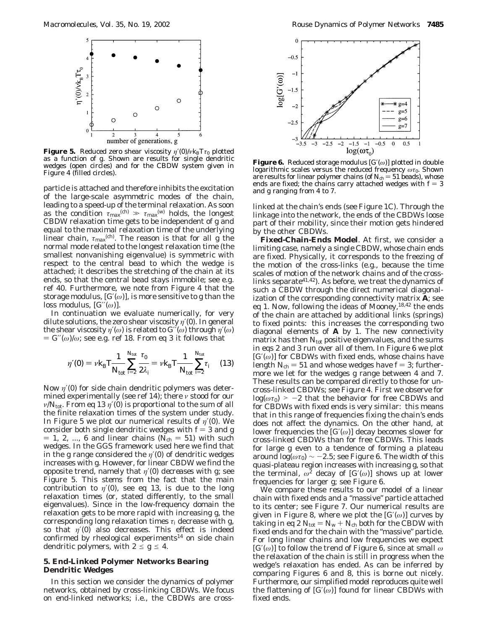

**Figure 5.** Reduced zero shear viscosity *η*′(0)/*νkBTτ*<sup>0</sup> plotted as a function of *g*. Shown are results for single dendritic wedges (open circles) and for the CBDW system given in Figure 4 (filled circles).

particle is attached and therefore inhibits the excitation of the large-scale *asymmetric* modes of the chain, leading to a speed-up of the terminal relaxation. As soon as the condition  $\tau_{\text{max}}^{(ch)} \gg \tau_{\text{max}}^{(w)}$  holds, the longest CBDW relaxation time gets to be independent of *g* and equal to the maximal relaxation time of the underlying linear chain,  $\tau_{\text{max}}^{(\text{ch})}$ . The reason is that for all  $g$  the normal mode related to the longest relaxation time (the smallest nonvanishing eigenvalue) is symmetric with respect to the central bead to which the wedge is attached; it describes the stretching of the chain at its ends, so that the central bead stays immobile; see e.g. ref 40. Furthermore, we note from Figure 4 that the storage modulus, [*G*′(*ω*)], is more sensitive to *g* than the loss modulus, [*G*′′(*ω*)].

In continuation we evaluate numerically, for very dilute solutions, the zero shear viscosity *η*′(0). In general the shear viscosity  $\eta'(\omega)$  is related to  $G''(\omega)$  through  $\eta'(\omega)$  $= G''(\omega)/\omega$ ; see e.g. ref 18. From eq 3 it follows that

$$
\eta'(0) = \nu k_{\rm B} T \frac{1}{N_{\rm tot}} \sum_{i=2}^{N_{\rm tot}} \frac{\tau_0}{2\lambda_i} = \nu k_{\rm B} T \frac{1}{N_{\rm tot}} \sum_{i=2}^{N_{\rm tot}} \tau_i \quad (13)
$$

Now *η*′(0) for side chain dendritic polymers was determined experimentally (see ref 14); there *ν* stood for our  $\nu/N_{\text{tot}}$ . From eq 13  $\eta'(0)$  is proportional to the sum of all the finite relaxation times of the system under study. In Figure 5 we plot our numerical results of *η*′(0). We consider both single dendritic wedges with  $f = 3$  and  $g$  $=$  1, 2, ..., 6 and linear chains ( $N_{ch} = 51$ ) with such wedges. In the GGS framework used here we find that in the *g* range considered the *η*′(0) of dendritic wedges increases with *g*. However, for linear CBDW we find the opposite trend, namely that *η*′(0) *decreases* with *g*; see Figure 5. This stems from the fact that the main contribution to  $\eta'(0)$ , see eq 13, is due to the long relaxation times (or, stated differently, to the small eigenvalues). Since in the low-frequency domain the relaxation gets to be more rapid with increasing *g*, the corresponding long relaxation times *τ<sup>i</sup>* decrease with *g*, so that *η*′(0) also decreases. This effect is indeed confirmed by rheological experiments $14$  on side chain dendritic polymers, with  $2 \le g \le 4$ .

### **5. End-Linked Polymer Networks Bearing Dendritic Wedges**

In this section we consider the dynamics of polymer networks, obtained by cross-linking CBDWs. We focus on end-linked networks; i.e., the CBDWs are cross-



**Figure 6.** Reduced storage modulus [*G*′(*ω*)] plotted in double logarithmic scales versus the reduced frequency  $ωτ_0$ . Shown are results for linear polymer chains (of  $N_{ch} = 51$  beads), whose ends are fixed; the chains carry attached wedges with  $f = 3$ and *g* ranging from 4 to 7.

linked at the chain's ends (see Figure 1C). Through the linkage into the network, the ends of the CBDWs loose part of their mobility, since their motion gets hindered by the other CBDWs.

**Fixed-Chain-Ends Model**. At first, we consider a limiting case, namely a single CBDW, whose chain ends are fixed. Physically, it corresponds to the freezing of the motion of the cross-links (e.g., because the time scales of motion of the network chains and of the crosslinks separate $41,42$ ). As before, we treat the dynamics of such a CBDW through the direct numerical diagonalization of the corresponding connectivity matrix **A**; see eq 1. Now, following the ideas of Mooney,<sup>18,42</sup> the ends of the chain are attached by additional links (springs) to fixed points: this increases the corresponding two diagonal elements of **A** by 1. The new connectivity matrix has then *N*tot positive eigenvalues, and the sums in eqs 2 and 3 run over all of them. In Figure 6 we plot [*G*′(*ω*)] for CBDWs with fixed ends, whose chains have length  $N_{ch} = 51$  and whose wedges have  $f = 3$ ; furthermore we let for the wedges *g* range between 4 and 7. These results can be compared directly to those for uncross-linked CBDWs; see Figure 4. First we observe for  $log(\omega\tau_0) > -2$  that the behavior for free CBDWs and for CBDWs with fixed ends is very similar: this means that in this range of frequencies fixing the chain's ends does not affect the dynamics. On the other hand, at lower frequencies the [*G*′(*ω*)] decay becomes slower for cross-linked CBDWs than for free CBDWs. This leads for large *g* even to a tendence of forming a plateau around  $\log(\omega \tau_0) \sim -2.5$ ; see Figure 6. The width of this quasi-plateau region increases with increasing *g*, so that the terminal,  $\omega^2$  decay of  $[G(\omega)]$  shows up at lower frequencies for larger *g*; see Figure 6.

We compare these results to our model of a linear chain with fixed ends and a "massive" particle attached to its center; see Figure 7. Our numerical results are given in Figure 8, where we plot the [*G*′(*ω*)] curves by taking in eq 2  $N_{\text{tot}} = N_{\text{w}} + N_{\text{ch}}$  both for the CBDW with fixed ends and for the chain with the "massive" particle. For long linear chains and low frequencies we expect [*G*′(*ω*)] to follow the trend of Figure 6, since at small *ω* the relaxation of the chain is still in progress when the wedge's relaxation has ended. As can be inferred by comparing Figures 6 and 8, this is borne out nicely. Furthermore, our simplified model reproduces quite well the flattening of  $[G(\omega)]$  found for linear CBDWs with fixed ends.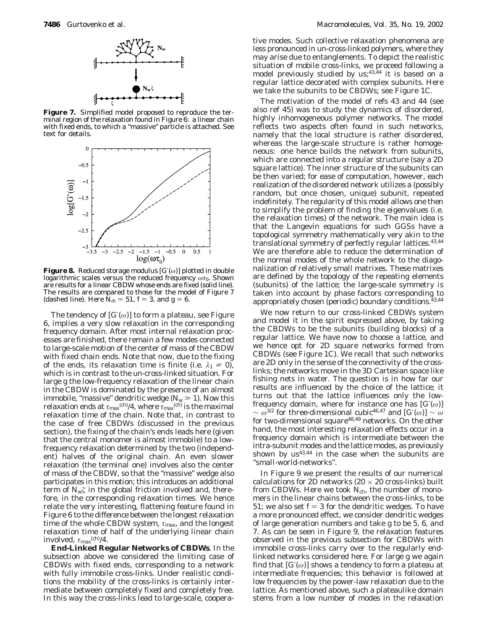

**Figure 7.** Simplified model proposed to reproduce the terminal region of the relaxation found in Figure 6: a linear chain with fixed ends, to which a "massive" particle is attached. See text for details.



**Figure 8.** Reduced storage modulus [*G*′(*ω*)] plotted in double logarithmic scales versus the reduced frequency  $ωτ_0$ . Shown are results for a linear CBDW whose ends are fixed (solid line). The results are compared to those for the model of Figure 7 (dashed line). Here  $N_{ch} = 51$ ,  $f = 3$ , and  $g = 6$ .

The tendency of  $[G(\omega)]$  to form a plateau, see Figure 6, implies a very slow relaxation in the corresponding frequency domain. After most internal relaxation processes are finished, there remain a few modes connected to large-scale motion of the center of mass of the CBDW with fixed chain ends. Note that now, due to the fixing of the ends, its relaxation time is finite (i.e.  $\lambda_1 \neq 0$ ), which is in contrast to the un-cross-linked situation. For large *g* the low-frequency relaxation of the linear chain in the CBDW is dominated by the presence of an almost immobile, "massive" dendritic wedge (*N*<sup>w</sup> . 1). Now this relaxation ends at *τ*max(ch)/4, where *τ*max(ch) is the maximal relaxation time of the chain. Note that, in contrast to the case of free CBDWs (discussed in the previous section), the fixing of the chain's ends leads here (given that the central monomer is almost immobile) to a lowfrequency relaxation determined by the two (independent) halves of the original chain. An even slower relaxation (the terminal one) involves also the center of mass of the CBDW, so that the "massive" wedge also participates in this motion; this introduces an additional term of *N*w*ú* in the global friction involved and, therefore, in the corresponding relaxation times. We hence relate the very interesting, flattening feature found in Figure 6 to the difference between the longest relaxation time of the whole CBDW system, *τ*max, and the longest relaxation time of half of the underlying linear chain involved,  $\tau_{\text{max}}^{(\text{ch})}/4$ .

**End-Linked Regular Networks of CBDWs**. In the subsection above we considered the limiting case of CBDWs with fixed ends, corresponding to a network with fully immobile cross-links. Under realistic conditions the mobility of the cross-links is certainly intermediate between completely fixed and completely free. In this way the cross-links lead to large-scale, coopera-

tive modes. Such collective relaxation phenomena are less pronounced in un-cross-linked polymers, where they may arise due to entanglements. To depict the realistic situation of mobile cross-links, we proceed following a model previously studied by us;<sup>43,44</sup> it is based on a regular lattice decorated with complex subunits. Here we take the subunits to be CBDWs; see Figure 1C.

The motivation of the model of refs 43 and 44 (see also ref 45) was to study the dynamics of disordered, highly inhomogeneous polymer networks. The model reflects two aspects often found in such networks, namely that the local structure is rather disordered, whereas the large-scale structure is rather homogeneous: one hence builds the network from subunits, which are connected into a regular structure (say a 2D square lattice). The inner structure of the subunits can be then varied; for ease of computation, however, each realization of the disordered network utilizes a (possibly random, but once chosen, unique) subunit, repeated indefinitely. The regularity of this model allows one then to simplify the problem of finding the eigenvalues (i.e. the relaxation times) of the network. The main idea is that the Langevin equations for such GGSs have a topological symmetry mathematically very akin to the translational symmetry of perfectly regular lattices.<sup>43,44</sup> We are therefore able to reduce the determination of the normal modes of the whole network to the diagonalization of relatively small matrixes. These matrixes are defined by the topology of the repeating elements (subunits) of the lattice; the large-scale symmetry is taken into account by phase factors corresponding to appropriately chosen (periodic) boundary conditions.<sup>43,44</sup>

We now return to our cross-linked CBDWs system and model it in the spirit expressed above, by taking the CBDWs to be the subunits (building blocks) of a regular lattice. We have now to choose a lattice, and we hence opt for 2D square networks formed from CBDWs (see Figure 1C). We recall that such networks are 2D only in the sense of the connectivity of the crosslinks; the networks move in the 3D Cartesian space like fishing nets in water. The question is in how far our results are influenced by the choice of the lattice; it turns out that the lattice influences only the lowfrequency domain, where for instance one has [*G*′(*ω*)] ∼ *ω*3/2 for three-dimensional cubic46,47 and [*G*′(*ω*)] ∼ *ω* for two-dimensional square<sup>48,49</sup> networks. On the other hand, the most interesting relaxation effects occur in a frequency domain which is intermediate between the intra-subunit modes and the lattice modes, as previously shown by  $us^{43,44}$  in the case when the subunits are "small-world-networks".

In Figure 9 we present the results of our numerical calculations for 2D networks (20  $\times$  20 cross-links) built from CBDWs. Here we took  $N_{ch}$ , the number of monomers in the linear chains between the cross-links, to be 51; we also set  $f = 3$  for the dendritic wedges. To have a more pronounced effect, we consider dendritic wedges of large generation numbers and take *g* to be 5, 6, and 7. As can be seen in Figure 9, the relaxation features observed in the previous subsection for CBDWs with immobile cross-links carry over to the regularly endlinked networks considered here. For large *g* we again find that  $[G(\omega)]$  shows a tendency to form a plateau at intermediate frequencies; this behavior is followed at low frequencies by the power-law relaxation due to the lattice. As mentioned above, such a plateaulike domain stems from a low number of modes in the relaxation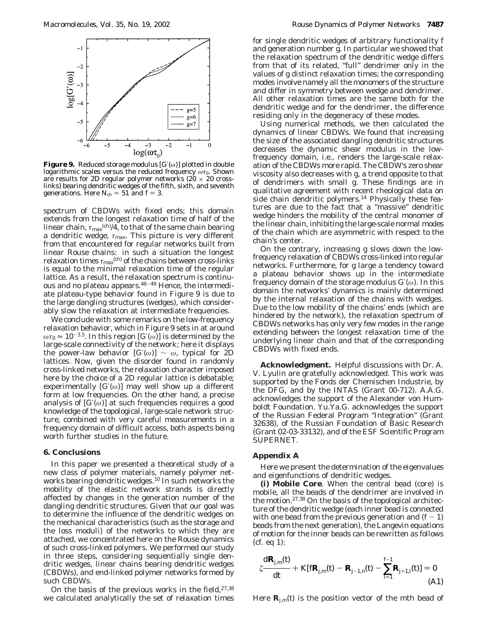

**Figure 9.** Reduced storage modulus [*G*′(*ω*)] plotted in double logarithmic scales versus the reduced frequency  $\omega \tau_0$ . Shown are results for 2D regular polymer networks (20  $\times$  20 crosslinks) bearing dendritic wedges of the fifth, sixth, and seventh generations. Here  $N_{ch} = 51$  and  $f = 3$ .

spectrum of CBDWs with fixed ends; this domain extends from the longest relaxation time of half of the linear chain,  $\tau_{\text{max}}^{(\text{ch})/4}$ , to that of the same chain bearing a dendritic wedge, *τ*max. This picture is very different from that encountered for regular networks built from linear Rouse chains: in such a situation the longest relaxation times  $\tau_{\text{max}}^{(\text{ch})}$  of the chains between cross-links is equal to the minimal relaxation time of the regular lattice. As a result, the relaxation spectrum is continuous and no plateau appears.46-<sup>49</sup> Hence, the intermediate plateau-type behavior found in Figure 9 is due to the large dangling structures (wedges), which considerably slow the relaxation at intermediate frequencies.

We conclude with some remarks on the low-frequency relaxation behavior, which in Figure 9 sets in at around  $\omega \tau_0 \simeq 10^{-3.5}$ . In this region  $[G(\omega)]$  is determined by the large-scale connectivity of the network; here it displays the power-law behavior  $[G(\omega)] \sim \omega$ , typical for 2D lattices. Now, given the disorder found in randomly cross-linked networks, the relaxation character imposed here by the choice of a 2D regular lattice is debatable; experimentally  $[G(\omega)]$  may well show up a different form at low frequencies. On the other hand, a precise analysis of [*G*′(*ω*)] at such frequencies requires a good knowledge of the topological, large-scale network structure, combined with very careful measurements in a frequency domain of difficult access, both aspects being worth further studies in the future.

#### **6. Conclusions**

In this paper we presented a theoretical study of a new class of polymer materials, namely polymer networks bearing dendritic wedges.10 In such networks the mobility of the elastic network strands is directly affected by changes in the generation number of the dangling dendritic structures. Given that our goal was to determine the influence of the dendritic wedges on the mechanical characteristics (such as the storage and the loss moduli) of the networks to which they are attached, we concentrated here on the Rouse dynamics of such cross-linked polymers. We performed our study in three steps, considering sequentially single dendritic wedges, linear chains bearing dendritic wedges (CBDWs), and end-linked polymer networks formed by such CBDWs.

On the basis of the previous works in the field, $27,38$ we calculated analytically the set of relaxation times

for single dendritic wedges of arbitrary functionality *f* and generation number *g*. In particular we showed that the relaxation spectrum of the dendritic wedge differs from that of its related, "full" dendrimer only in the values of *g* distinct relaxation times; the corresponding modes involve namely all the monomers of the structure and differ in symmetry between wedge and dendrimer. All other relaxation times are the same both for the dendritic wedge and for the dendrimer, the difference residing only in the degeneracy of these modes.

Using numerical methods, we then calculated the dynamics of linear CBDWs. We found that increasing the size of the associated dangling dendritic structures decreases the dynamic shear modulus in the lowfrequency domain, i.e., renders the large-scale relaxation of the CBDWs more rapid. The CBDW's zero shear viscosity also decreases with *g*, a trend opposite to that of dendrimers with small *g*. These findings are in qualitative agreement with recent rheological data on side chain dendritic polymers.<sup>14</sup> Physically these features are due to the fact that a "massive" dendritic wedge hinders the mobility of the central monomer of the linear chain, inhibiting the large-scale normal modes of the chain which are asymmetric with respect to the chain's center.

On the contrary, increasing *g* slows down the lowfrequency relaxation of CBDWs cross-linked into regular networks. Furthermore, for *g* large a tendency toward a plateau behavior shows up in the intermediate frequency domain of the storage modulus *G*′(*ω*). In this domain the networks' dynamics is mainly determined by the internal relaxation of the chains with wedges. Due to the low mobility of the chains' ends (which are hindered by the network), the relaxation spectrum of CBDWs networks has only very few modes in the range extending between the longest relaxation time of the underlying linear chain and that of the corresponding CBDWs with fixed ends.

**Acknowledgment.** Helpful discussions with Dr. A. V. Lyulin are gratefully acknowledged. This work was supported by the Fonds der Chemischen Industrie, by the DFG, and by the INTAS (Grant 00-712). A.A.G. acknowledges the support of the Alexander von Humboldt Foundation. Yu.Ya.G. acknowledges the support of the Russian Federal Program "Integration" (Grant 32638), of the Russian Foundation of Basic Research (Grant 02-03-33132), and of the ESF Scientific Program SUPERNET.

#### **Appendix A**

Here we present the determination of the eigenvalues and eigenfunctions of dendritic wedges.

**(i) Mobile Core**. When the central bead (core) is mobile, all the beads of the dendrimer are involved in the motion.27,38 On the basis of the topological architecture of the dendritic wedge (each inner bead is connected with one bead from the previous generation and  $(f-1)$ beads from the next generation), the Langevin equations of motion for the inner beads can be rewritten as follows (cf. eq 1):

$$
\xi \frac{\mathrm{d} \mathbf{R}_{j,m}(t)}{\mathrm{d} t} + K[\mathbf{R}_{j,m}(t) - \mathbf{R}_{j-1,n}(t) - \sum_{l=1}^{f-1} \mathbf{R}_{j+1,l}(t)] = 0
$$
\n(A1)

Here  $\mathbf{R}_{i,m}(t)$  is the position vector of the *m*th bead of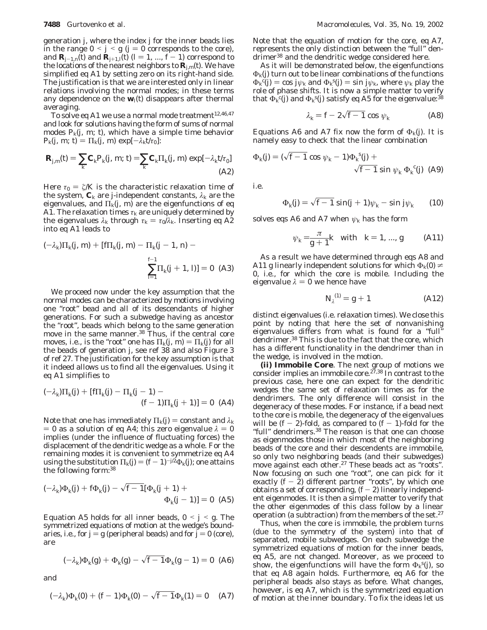generation *j*, where the index *j* for the inner beads lies in the range  $0 < j < g$  ( $j = 0$  corresponds to the core), and  $\mathbf{R}_{j-1,n}(t)$  and  $\mathbf{R}_{j+1,n}(t)$  ( $l=1, ..., f-1$ ) correspond to the locations of the nearest neighbors to  $\mathbf{R}_{j,m}(t)$ . We have simplified eq A1 by setting zero on its right-hand side. The justification is that we are interested only in linear relations involving the normal modes; in these terms any dependence on the  $w_l(t)$  disappears after thermal averaging.

To solve eq A1 we use a normal mode treatment<sup>12,46,47</sup> and look for solutions having the form of sums of normal modes *Pk*(*j*, *m*; *t*), which have a simple time behavior  $P_k(j, m; t) = \prod_k(j, m) \exp[-\lambda_k t/\tau_0]$ :

$$
\mathbf{R}_{j,m}(t) = \sum_{k} \mathbf{C}_{k} P_{k}(j, m; t) = \sum_{k} \mathbf{C}_{k} \Pi_{k}(j, m) \exp[-\lambda_{k} t/\tau_{0}]
$$
\n(A2)

Here  $\tau_0 = \zeta/K$  is the characteristic relaxation time of the system,  $C_k$  are *j*-independent constants,  $\lambda_k$  are the eigenvalues, and  $\Pi_k(j, m)$  are the eigenfunctions of eq A1. The relaxation times *τ<sup>k</sup>* are uniquely determined by the eigenvalues  $λ_k$  through  $τ_k = τ_0/λ_k$ . Inserting eq A2 into eq A1 leads to

$$
(-\lambda_k)\Pi_k(j, m) + [A\Pi_k(j, m) - \Pi_k(j-1, n) - \sum_{j=1}^{f-1} \Pi_k(j+1, n)] = 0
$$
 (A3)

We proceed now under the key assumption that the normal modes can be characterized by motions involving one "root" bead and all of its descendants of higher generations. For such a subwedge having as ancestor the "root", beads which belong to the same generation move in the same manner.<sup>38</sup> Thus, if the central core moves, i.e., is the "root" one has  $\Pi_k(j, m) = \Pi_k(j)$  for all the beads of generation *j*, see ref 38 and also Figure 3 of ref 27. The justification for the key assumption is that it indeed allows us to find all the eigenvalues. Using it eq A1 simplifies to

$$
(-\lambda_k)\Pi_k(j) + [A\Pi_k(j) - \Pi_k(j-1) - (f-1)\Pi_k(j+1)] = 0
$$
 (A4)

Note that one has immediately  $\Pi_k(j) = \text{constant}$  and  $\lambda_k$  $= 0$  as a solution of eq A4; this zero eigenvalue  $\lambda = 0$ implies (under the influence of fluctuating forces) the displacement of the dendritic wedge as a whole. For the remaining modes it is convenient to symmetrize eq A4 using the substitution  $\Pi_k(j) = (f-1)^{-j/2} \Phi_k(j)$ ; one attains the following form:38

$$
(-\lambda_k)\Phi_k(j) + f\Phi_k(j) - \sqrt{f-1}[\Phi_k(j+1) + \Phi_k(j-1)] = 0
$$
 (A5)

Equation A5 holds for all inner beads,  $0 \leq j \leq g$ . The symmetrized equations of motion at the wedge's boundaries, i.e., for  $j = g$  (peripheral beads) and for  $j = 0$  (core), are

$$
(-\lambda_k)\Phi_k(g) + \Phi_k(g) - \sqrt{f-1}\Phi_k(g-1) = 0
$$
 (A6)

and

$$
(-\lambda_k)\Phi_k(0) + (f-1)\Phi_k(0) - \sqrt{f-1}\Phi_k(1) = 0 \quad \text{(A7)}
$$

Note that the equation of motion for the core, eq A7, represents the only distinction between the "full" dendrimer<sup>38</sup> and the dendritic wedge considered here.

As it will be demonstrated below, the eigenfunctions Φ*k*(*j*) turn out to be linear combinations of the functions  $\Phi_k^c(j) = \cos j\psi_k$  and  $\Phi_k^s(j) = \sin j\psi_k$ , where  $\psi_k$  play the role of phase shifts It is now a simple matter to verify role of phase shifts. It is now a simple matter to verify that  $\Phi_k^{\ c}(j)$  and  $\Phi_k^{\ c}(j)$  satisfy eq A5 for the eigenvalue:<sup>38</sup>

$$
\lambda_k = f - 2\sqrt{f - 1} \cos \psi_k \tag{A8}
$$

Equations A6 and A7 fix now the form of  $\Phi_k(j)$ . It is namely easy to check that the linear combination

$$
\Phi_k(j) = (\sqrt{f-1} \cos \psi_k - 1)\Phi_k^s(j) + \sqrt{f-1} \sin \psi_k \Phi_k^c(j)
$$
 (A9)

i.e.

$$
\Phi_k(j) = \sqrt{f-1} \sin(j+1)\psi_k - \sin j\psi_k \qquad (10)
$$

solves eqs A6 and A7 when *ψ<sup>k</sup>* has the form

$$
\psi_k = \frac{\pi}{g+1} k
$$
 with  $k = 1, ..., g$  (A11)

As a result we have determined through eqs A8 and A11 *g* linearly independent solutions for which  $\Phi_k(0) \neq$ 0, i.e., for which the core is mobile. Including the eigenvalue  $\lambda = 0$  we hence have

$$
N_{\lambda}^{(1)} = g + 1 \tag{A12}
$$

distinct eigenvalues (i.e. relaxation times). We close this point by noting that here the set of nonvanishing eigenvalues differs from what is found for a "full" dendrimer.<sup>38</sup> This is due to the fact that the core, which has a different functionality in the dendrimer than in the wedge, is involved in the motion.

**(ii) Immobile Core**. The next group of motions we consider implies an immobile core.<sup>27,38</sup> In contrast to the previous case, here one can expect for the dendritic wedges the same set of relaxation times as for the dendrimers. The only difference will consist in the degeneracy of these modes. For instance, if a bead next to the core is mobile, the degeneracy of the eigenvalues will be  $(f - 2)$ -fold, as compared to  $(f - 1)$ -fold for the "full" dendrimers.38 The reason is that one can choose as eigenmodes those in which most of the neighboring beads of the core and their descendents are immobile, so only two neighboring beads (and their subwedges) move against each other.27 These beads act as "roots". Now focusing on such one "root", one can pick for it exactly  $(f - 2)$  different partner "roots", by which one obtains a set of corresponding,  $(f - 2)$  linearly independent eigenmodes. It is then a simple matter to verify that the other eigenmodes of this class follow by a linear operation (a subtraction) from the members of the set.<sup>27</sup>

Thus, when the core is immobile, the problem turns (due to the symmetry of the system) into that of separated, mobile subwedges. On each subwedge the symmetrized equations of motion for the inner beads, eq A5, are not changed. Moreover, as we proceed to show, the eigenfunctions will have the form  $\Phi_k^{\{s\}}(j)$ , so that eq A8 again holds. Furthermore, eq A6 for the peripheral beads also stays as before. What changes, however, is eq A7, which is the symmetrized equation of motion at the inner boundary. To fix the ideas let us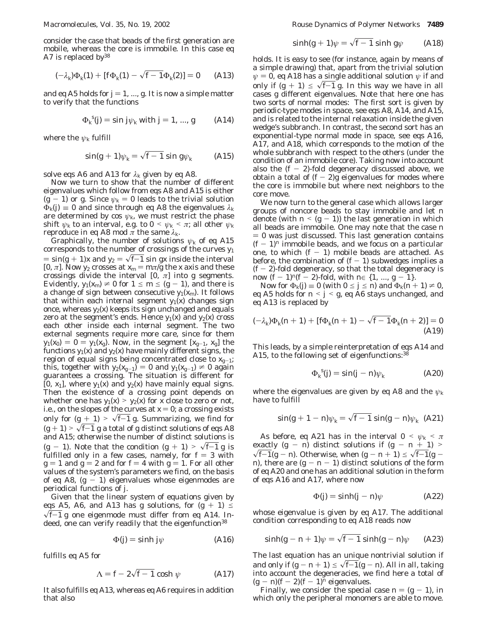consider the case that beads of the first generation are mobile, whereas the core is immobile. In this case eq A7 is replaced by<sup>38</sup>

$$
(-\lambda_k)\Phi_k(1) + [f\Phi_k(1) - \sqrt{f-1}\Phi_k(2)] = 0 \quad (A13)
$$

and eq A5 holds for  $j = 1, ..., g$ . It is now a simple matter to verify that the functions

$$
\Phi_k^s(j) = \sin j\psi_k \text{ with } j = 1, ..., g \qquad (A14)
$$

where the  $\psi_k$  fulfill

$$
\sin(g+1)\psi_k = \sqrt{f-1}\sin g\psi_k \qquad (A15)
$$

solve eqs A6 and A13 for  $\lambda_k$  given by eq A8.

Now we turn to show that the number of different eigenvalues which follow from eqs A8 and A15 is either  $(g - 1)$  or *g*. Since  $\psi_k = 0$  leads to the trivial solution  $\Phi_k(j) \equiv 0$  and since through eq A8 the eigenvalues  $\lambda_k$ are determined by cos  $\psi_k$ , we must restrict the phase shift  $\psi_k$  to an interval, e.g. to  $0 \leq \psi_k \leq \pi$ ; all other  $\psi_k$ reproduce in eq A8 mod *π* the same *λk*.

Graphically, the number of solutions  $\psi_k$  of eq A15 corresponds to the number of crossings of the curves *y*<sup>1</sup>  $=$  sin(*g* + 1)*x* and  $y_2 = \sqrt{f-1}$  sin *gx* inside the interval [0,  $\pi$ ]. Now  $y_2$  crosses at  $x_m = m\pi/g$  the *x* axis and these crossings divide the interval [0, *π*] into *g* segments. Evidently,  $y_1(x_m) \neq 0$  for  $1 \leq m \leq (g-1)$ , and there is a change of sign between consecutive  $y_1(x_m)$ . It follows that within each *internal* segment  $y_1(x)$  changes sign once, whereas  $y_2(x)$  keeps its sign unchanged and equals zero at the segment's ends. Hence  $y_1(x)$  and  $y_2(x)$  cross each other inside each *internal* segment. The two external segments require more care, since for them  $y_1(x_0) = 0 = y_1(x_g)$ . Now, in the segment  $[x_{g-1}, x_g]$  the functions  $y_1(x)$  and  $y_2(x)$  have mainly different signs, the region of equal signs being concentrated close to *xg*-1; this, together with  $y_2(x_{g-1}) = 0$  and  $y_1(x_{g-1}) \neq 0$  again guarantees a crossing. The situation is different for  $[0, x_1]$ , where  $y_1(x)$  and  $y_2(x)$  have mainly equal signs. Then the existence of a crossing point depends on whether one has  $y_1(x) > y_2(x)$  for *x* close to zero or not, i.e., on the slopes of the curves at  $x = 0$ ; a crossing exists only for  $(g+1) > \sqrt{f-1} g$ . Summarizing, we find for  $(g+1)$  >  $\sqrt{f-1}$  *g* a total of *g* distinct solutions of eqs A8 and A15; otherwise the number of distinct solutions is  $(g - 1)$ . Note that the condition  $(g + 1) > \sqrt{f-1} g$  is fulfilled only in a few cases, namely, for  $f = 3$  with  $g = 1$  and  $g = 2$  and for  $f = 4$  with  $g = 1$ . For all other values of the system's parameters we find, on the basis of eq A8,  $(g - 1)$  eigenvalues whose eigenmodes are periodical functions of *j*.

Given that the linear system of equations given by eqs A5, A6, and A13 has *g* solutions, for  $(g + 1) \le$  $\sqrt{f-1}$  *g* one eigenmode must differ from eq A14. Indeed, one can verify readily that the eigenfunction<sup>38</sup>

$$
\Phi(j) = \sinh j\psi \tag{A16}
$$

fulfills eq A5 for

$$
\Lambda = f - 2\sqrt{f - 1} \cosh \psi \tag{A17}
$$

It also fulfills eq A13, whereas eq A6 requires in addition that also

$$
\sinh(g+1)\psi = \sqrt{f-1}\sinh g\psi \qquad (A18)
$$

holds. It is easy to see (for instance, again by means of a simple drawing) that, apart from the trivial solution  $\psi = 0$ , eq A18 has a single additional solution  $\psi$  if and only if  $(g + 1) \leq \sqrt{f-1} g$ . In this way we have in all cases *g* different eigenvalues. Note that here one has two sorts of normal modes: The first sort is given by periodic-type modes in space, see eqs A8, A14, and A15, and is related to the internal relaxation inside the given wedge's subbranch. In contrast, the second sort has an exponential-type normal mode in space, see eqs A16, A17, and A18, which corresponds to the motion of the whole subbranch with respect to the others (under the condition of an immobile core). Taking now into account also the  $(f - 2)$ -fold degeneracy discussed above, we obtain a total of  $(f - 2)g$  eigenvalues for modes where the core is immobile but where next neighbors to the core move.

We now turn to the general case which allows larger groups of noncore beads to stay immobile and let *n* denote (with  $n \leq (g-1)$ ) the last generation in which all beads are immobile. One may note that the case *n*  $= 0$  was just discussed. This last generation contains  $(f-1)^n$  immobile beads, and we focus on a particular one, to which  $(f - 1)$  mobile beads are attached. As before, the combination of  $(f - 1)$  subwedges implies a  $(f - 2)$ -fold degeneracy, so that the total degeneracy is now  $(f − 1)^n(f − 2)$ -fold, with  $n ∈ {1, ..., g − 1}$ .

Now for  $\Phi_k(j) \equiv 0$  (with  $0 \le j \le n$ ) and  $\Phi_k(n+1) \ne 0$ , eq A5 holds for  $n \le j \le g$ , eq A6 stays unchanged, and eq A13 is replaced by

$$
(-\lambda_k)\Phi_k(n+1) + [\mathit{f}\Phi_k(n+1) - \sqrt{f-1}\Phi_k(n+2)] = 0
$$
\n(A19)

This leads, by a simple reinterpretation of eqs A14 and A15, to the following set of eigenfunctions:<sup>38</sup>

$$
\Phi_k^s(j) = \sin(j - n)\psi_k \tag{A20}
$$

where the eigenvalues are given by eq A8 and the *ψ<sup>k</sup>* have to fulfill

$$
\sin(g+1-\eta)\psi_k = \sqrt{f-1}\,\sin(g-\eta)\psi_k\,\,\text{(A21)}
$$

As before, eq A21 has in the interval  $0 < \psi_k < \pi$ exactly  $(g - n)$  distinct solutions if  $(g - n + 1)$  $\sqrt{f-1(g-n)}$ . Otherwise, when  $(g-n+1) \leq \sqrt{f-1(g-n)}$ *n*), there are  $(g - n - 1)$  distinct solutions of the form of eq A20 and one has an additional solution in the form of eqs A16 and A17, where now

$$
\Phi(j) = \sinh(j - n)\psi \tag{A22}
$$

whose eigenvalue is given by eq A17. The additional condition corresponding to eq A18 reads now

$$
\sinh(g - n + 1)\psi = \sqrt{f - 1}\sinh(g - n)\psi \qquad (A23)
$$

The last equation has an unique nontrivial solution if and only if  $(g - n + 1) \le \sqrt{f-1(g - n)}$ . All in all, taking into account the degeneracies, we find here a total of  $(g - n)(f - 2)(f - 1)^n$  eigenvalues.

Finally, we consider the special case  $n = (g - 1)$ , in which only the peripheral monomers are able to move.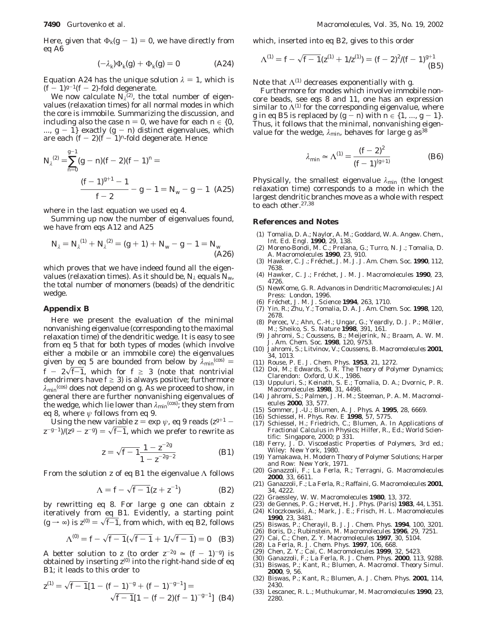Here, given that  $\Phi_k(g-1) = 0$ , we have directly from eq A6

$$
(-\lambda_k)\Phi_k(g) + \Phi_k(g) = 0 \qquad (A24)
$$

Equation A24 has the unique solution  $\lambda = 1$ , which is  $(f-1)^{g-1}(f-2)$ -fold degenerate.

We now calculate  $N_{\lambda}^{(2)}$ , the total number of eigenvalues (relaxation times) for all normal modes in which the core is immobile. Summarizing the discussion, and including also the case  $n = 0$ , we have for each  $n \in \{0,$ ...,  $g - 1$ } exactly  $(g - n)$  distinct eigenvalues, which are each  $(f-2)(\tilde{f}-1)^n$ -fold degenerate. Hence

$$
N_{\lambda}^{(2)} = \sum_{n=0}^{g-1} (g-n)(f-2)(f-1)^n =
$$

$$
\frac{(f-1)^{g+1}-1}{f-2} - g - 1 = N_{\rm w} - g - 1
$$
 (A25)

where in the last equation we used eq 4.

Summing up now the number of eigenvalues found, we have from eqs A12 and A25

$$
N_{\lambda} = N_{\lambda}^{(1)} + N_{\lambda}^{(2)} = (g+1) + N_{\rm w} - g - 1 = N_{\rm w}
$$
\n(A26)

which proves that we have indeed found all the eigenvalues (relaxation times). As it should be, *N<sup>λ</sup>* equals *N*w, the total number of monomers (beads) of the dendritic wedge.

#### **Appendix B**

Here we present the evaluation of the minimal nonvanishing eigenvalue (corresponding to the maximal relaxation time) of the dendritic wedge. It is easy to see from eq 5 that for both types of modes (which involve either a mobile or an immobile core) the eigenvalues given by eq 5 are bounded from below by  $\lambda_{\min}^{(\cos)}$  =  $f - 2\sqrt{f-1}$ , which for  $f \geq 3$  (note that nontrivial dendrimers have  $f \geq 3$ ) is always positive; furthermore  $\lambda_{\min}$ <sup>(cos)</sup> does not depend on *g*. As we proceed to show, in general there are further nonvanishing eigenvalues of the wedge, which lie lower than  $λ_{min}$ <sup>(cos)</sup>; they stem from eq 8, where  $\psi$  follows from eq 9.

Using the new variable  $z = \exp \psi$ , eq 9 reads ( $z^{g+1}$  - $\frac{z^{-g-1}}{z^{g-1}}$   $(z^{g}-z^{-g}) = \sqrt{f-1}$ , which we prefer to rewrite as

$$
z = \sqrt{f - 1} \frac{1 - z^{-2g}}{1 - z^{-2g - 2}}
$$
 (B1)

From the solution *z* of eq B1 the eigenvalue Λ follows

$$
\Lambda = f - \sqrt{f - 1}(z + z^{-1})
$$
 (B2)

by rewritting eq 8. For large *g* one can obtain *z* iteratively from eq B1. Evidently, a starting point  $(g \rightarrow \infty)$  is  $z^{(0)} = \sqrt{f-1}$ , from which, with eq B2, follows

$$
\Lambda^{(0)} = f - \sqrt{f - 1}(\sqrt{f - 1} + 1/\sqrt{f - 1}) = 0
$$
 (B3)

A better solution to *z* (to order  $z^{-2g} \approx (f - 1)^{-g}$ ) is obtained by inserting  $z^{(0)}$  into the right-hand side of eq B1; it leads to this order to

$$
z^{(1)} = \sqrt{f-1}\left[1 - (f-1)^{-g} + (f-1)^{-g-1}\right] = \sqrt{f-1}\left[1 - (f-2)(f-1)^{-g-1}\right] \tag{B4}
$$

which, inserted into eq B2, gives to this order

$$
\Lambda^{(1)} = f - \sqrt{f - 1}(z^{(1)} + 1/z^{(1)}) = (f - 2)^2/(f - 1)^{g + 1}
$$
(B5)

Note that  $\Lambda^{(1)}$  decreases exponentially with  $g$ .

Furthermore for modes which involve immobile noncore beads, see eqs 8 and 11, one has an expression similar to  $\Lambda^{(1)}$  for the corresponding eigenvalue, where *g* in eq B5 is replaced by  $(g - n)$  with  $n \in \{1, ..., g - 1\}$ . Thus, it follows that the minimal, nonvanishing eigenvalue for the wedge,  $\lambda_{\text{min}}$ , behaves for large  $g$  as<sup>38</sup>

$$
\lambda_{\min} \simeq \Lambda^{(1)} = \frac{(f-2)^2}{(f-1)^{(g+1)}}\tag{B6}
$$

Physically, the smallest eigenvalue *λ*min (the longest relaxation time) corresponds to a mode in which the largest dendritic branches move as a whole with respect to each other.27,38

#### **References and Notes**

- (1) Tomalia, D. A.; Naylor, A. M.; Goddard, W. A. *Angew. Chem., Int. Ed. Engl.* **1990**, *29*, 138.
- (2) Moreno-Bondi, M. C.; Prelana, G.; Turro, N. J.; Tomalia, D. A. *Macromolecules* **1990**, *23*, 910.
- (3) Hawker, C. J.; Fre´chet, J. M. J. *J. Am. Chem. Soc.* **1990**, *112*, 7638.
- (4) Hawker, C. J.; Fre´chet, J. M. J. *Macromolecules* **1990**, *23*, 4726.
- (5) NewKome, G. R. *Advances in Dendritic Macromolecules*; JAI Press: London, 1996.
- (6) Fre´chet, J. M. J. *Science* **1994**, *263*, 1710.
- (7) Yin. R.; Zhu, Y.; Tomalia, D. A. *J. Am. Chem. Soc.* **1998**, *120*, 2678.
- (8) Percec, V.; Ahn, C.-H.; Ungar, G.; Yeardly, D. J. P.; Möller, M.; Sheiko, S. S. *Nature* **1998**, *391*, 161.
- (9) Jahromi, S.; Coussens, B.; Meijerink, N.; Braam, A. W. M. *J. Am. Chem. Soc.* **1998**, *120*, 9753.
- (10) Jahromi, S.; Litvinov, V.; Coussens, B. *Macromolecules* **2001**, *34*, 1013.
- (11) Rouse, P. E. *J. Chem. Phys.* **1953**, *21*, 1272.
- (12) Doi, M.; Edwards, S. R. *The Theory of Polymer Dynamics*; Clarendon: Oxford, U.K., 1986.
- (13) Uppuluri, S.; Keinath, S. E.; Tomalia, D. A.; Dvornic, P. R. *Macromolecules* **1998**, *31*, 4498.
- (14) Jahromi, S.; Palmen, J. H. M.; Steeman, P. A. M. *Macromolecules* **2000**, *33*, 577.
- (15) Sommer, J.-U.; Blumen, A. *J. Phys. A* **1995**, *28*, 6669.
- (16) Schiessel, H. *Phys. Rev. E* **1998**, *57*, 5775.
- (17) Schiessel, H.; Friedrich, C.; Blumen, A. In *Applications of Fractional Calculus in Physics*; Hilfer, R., Ed.; World Scientific: Singapore, 2000; p 331.
- (18) Ferry, J. D. *Viscoelastic Properties of Polymers*, 3rd ed.; Wiley: New York, 1980.
- (19) Yamakawa, H. *Modern Theory of Polymer Solutions*; Harper and Row: New York, 1971.
- (20) Ganazzoli, F.; La Ferla, R.; Terragni, G. *Macromolecules* **2000**, *33*, 6611.
- (21) Ganazzoli, F.; La Ferla, R.; Raffaini, G. *Macromolecules* **2001**, *34*, 4222.
- (22) Graessley, W. W. *Macromolecules* **1980**, *13*, 372.
- (23) de Gennes, P. G.; Hervet, H. *J. Phys. (Paris)* **1983**, *44*, L351.
- (24) Kloczkowski, A.; Mark, J. E.; Frisch, H. L. *Macromolecules* **1990**, *23*, 3481.
- (25) Biswas, P.; Cherayil, B. J. *J. Chem. Phys.* **1994**, *100*, 3201.
- (26) Boris, D.; Rubinstein, M. *Macromolecules* **1996**, *29*, 7251.
- (27) Cai, C.; Chen, Z. Y. *Macromolecules* **1997**, *30*, 5104.
- (28) La Ferla, R. *J. Chem. Phys.* **1997**, *106*, 668.
- (29) Chen, Z. Y.; Cai, C. *Macromolecules* **1999**, *32*, 5423.
- (30) Ganazzoli, F.; La Ferla, R. *J. Chem. Phys.* **2000**, *113*, 9288.
- (31) Biswas, P.; Kant, R.; Blumen, A. *Macromol. Theory Simul.* **2000**, *9*, 56.
- (32) Biswas, P.; Kant, R.; Blumen, A. *J. Chem. Phys.* **2001**, *114*, 2430.
- (33) Lescanec, R. L.; Muthukumar, M. *Macromolecules* **1990**, *23*, 2280.